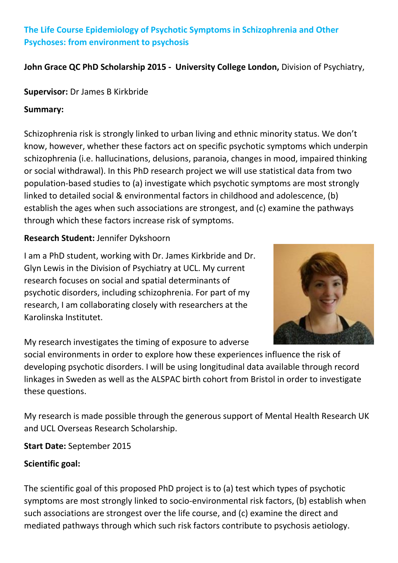# **The Life Course Epidemiology of Psychotic Symptoms in Schizophrenia and Other Psychoses: from environment to psychosis**

#### **John Grace QC PhD Scholarship 2015 - University College London,** Division of Psychiatry,

#### **Supervisor:** Dr James B Kirkbride

#### **Summary:**

Schizophrenia risk is strongly linked to urban living and ethnic minority status. We don't know, however, whether these factors act on specific psychotic symptoms which underpin schizophrenia (i.e. hallucinations, delusions, paranoia, changes in mood, impaired thinking or social withdrawal). In this PhD research project we will use statistical data from two population-based studies to (a) investigate which psychotic symptoms are most strongly linked to detailed social & environmental factors in childhood and adolescence, (b) establish the ages when such associations are strongest, and (c) examine the pathways through which these factors increase risk of symptoms.

### **Research Student:** Jennifer Dykshoorn

I am a PhD student, working with Dr. James Kirkbride and Dr. Glyn Lewis in the Division of Psychiatry at UCL. My current research focuses on social and spatial determinants of psychotic disorders, including schizophrenia. For part of my research, I am collaborating closely with researchers at the Karolinska Institutet.



My research investigates the timing of exposure to adverse

social environments in order to explore how these experiences influence the risk of developing psychotic disorders. I will be using longitudinal data available through record linkages in Sweden as well as the ALSPAC birth cohort from Bristol in order to investigate these questions.

My research is made possible through the generous support of Mental Health Research UK and UCL Overseas Research Scholarship.

**Start Date:** September 2015

# **Scientific goal:**

The scientific goal of this proposed PhD project is to (a) test which types of psychotic symptoms are most strongly linked to socio-environmental risk factors, (b) establish when such associations are strongest over the life course, and (c) examine the direct and mediated pathways through which such risk factors contribute to psychosis aetiology.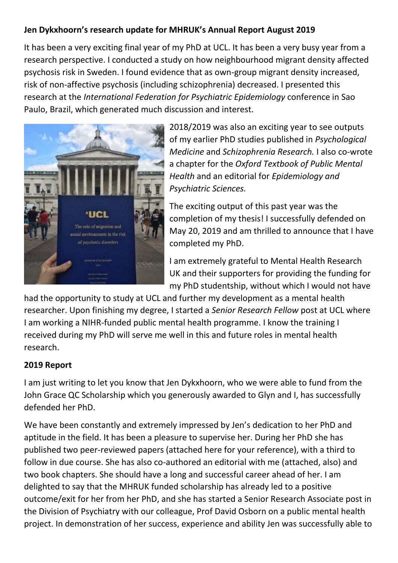# **Jen Dykxhoorn's research update for MHRUK's Annual Report August 2019**

It has been a very exciting final year of my PhD at UCL. It has been a very busy year from a research perspective. I conducted a study on how neighbourhood migrant density affected psychosis risk in Sweden. I found evidence that as own-group migrant density increased, risk of non-affective psychosis (including schizophrenia) decreased. I presented this research at the *International Federation for Psychiatric Epidemiology* conference in Sao Paulo, Brazil, which generated much discussion and interest.



2018/2019 was also an exciting year to see outputs of my earlier PhD studies published in *Psychological Medicine* and *Schizophrenia Research.* I also co-wrote a chapter for the *Oxford Textbook of Public Mental Health* and an editorial for *Epidemiology and Psychiatric Sciences.*

The exciting output of this past year was the completion of my thesis! I successfully defended on May 20, 2019 and am thrilled to announce that I have completed my PhD.

I am extremely grateful to Mental Health Research UK and their supporters for providing the funding for my PhD studentship, without which I would not have

had the opportunity to study at UCL and further my development as a mental health researcher. Upon finishing my degree, I started a *Senior Research Fellow* post at UCL where I am working a NIHR-funded public mental health programme. I know the training I received during my PhD will serve me well in this and future roles in mental health research.

#### **2019 Report**

I am just writing to let you know that Jen Dykxhoorn, who we were able to fund from the John Grace QC Scholarship which you generously awarded to Glyn and I, has successfully defended her PhD.

We have been constantly and extremely impressed by Jen's dedication to her PhD and aptitude in the field. It has been a pleasure to supervise her. During her PhD she has published two peer-reviewed papers (attached here for your reference), with a third to follow in due course. She has also co-authored an editorial with me (attached, also) and two book chapters. She should have a long and successful career ahead of her. I am delighted to say that the MHRUK funded scholarship has already led to a positive outcome/exit for her from her PhD, and she has started a Senior Research Associate post in the Division of Psychiatry with our colleague, Prof David Osborn on a public mental health project. In demonstration of her success, experience and ability Jen was successfully able to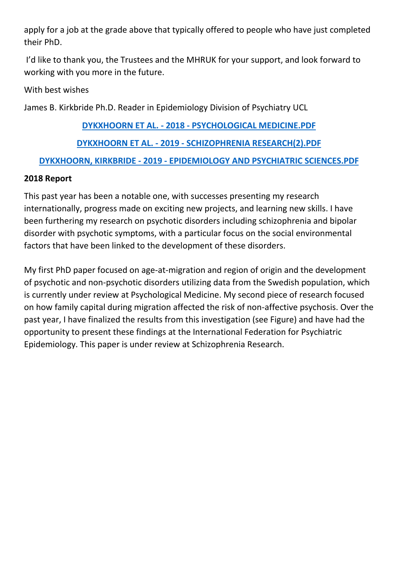apply for a job at the grade above that typically offered to people who have just completed their PhD.

I'd like to thank you, the Trustees and the MHRUK for your support, and look forward to working with you more in the future.

With best wishes

James B. Kirkbride Ph.D. Reader in Epidemiology Division of Psychiatry UCL

#### **DYKXHOORN ET AL. - 2018 - [PSYCHOLOGICAL MEDICINE.PDF](https://docs.google.com/a/mentalhealthresearchuk.org.uk/viewer?a=v&pid=sites&srcid=bWVudGFsaGVhbHRocmVzZWFyY2h1ay5vcmcudWt8bWhydWt8Z3g6MTVkNDhiMzhmMjY4ZjhmOQ)**

#### **DYKXHOORN ET AL. - 2019 - [SCHIZOPHRENIA RESEARCH\(2\).PDF](https://docs.google.com/a/mentalhealthresearchuk.org.uk/viewer?a=v&pid=sites&srcid=bWVudGFsaGVhbHRocmVzZWFyY2h1ay5vcmcudWt8bWhydWt8Z3g6NzEyMGIyMGU1YjhhYzY4Zg)**

#### **DYKXHOORN, KIRKBRIDE - 2019 - [EPIDEMIOLOGY AND PSYCHIATRIC SCIENCES.PDF](https://docs.google.com/a/mentalhealthresearchuk.org.uk/viewer?a=v&pid=sites&srcid=bWVudGFsaGVhbHRocmVzZWFyY2h1ay5vcmcudWt8bWhydWt8Z3g6ZmVmMDdkZTY4MzZkODRh)**

#### **2018 Report**

This past year has been a notable one, with successes presenting my research internationally, progress made on exciting new projects, and learning new skills. I have been furthering my research on psychotic disorders including schizophrenia and bipolar disorder with psychotic symptoms, with a particular focus on the social environmental factors that have been linked to the development of these disorders.

My first PhD paper focused on age-at-migration and region of origin and the development of psychotic and non-psychotic disorders utilizing data from the Swedish population, which is currently under review at Psychological Medicine. My second piece of research focused on how family capital during migration affected the risk of non-affective psychosis. Over the past year, I have finalized the results from this investigation (see Figure) and have had the opportunity to present these findings at the International Federation for Psychiatric Epidemiology. This paper is under review at Schizophrenia Research.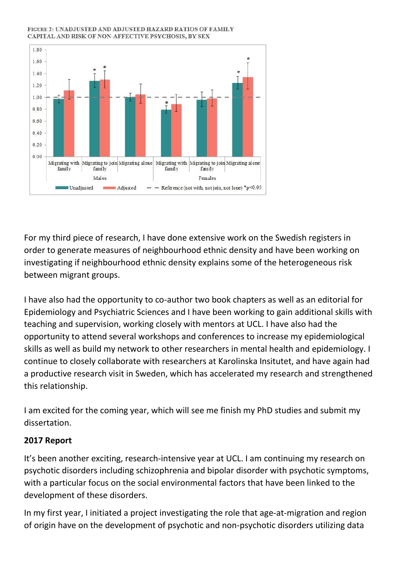#### FIGURE 2: UNADJUSTED AND ADJUSTED HAZARD RATIOS OF FAMILY CAPITAL AND RISK OF NON-AFFECTIVE PSYCHOSIS, BY SEX



For my third piece of research, I have done extensive work on the Swedish registers in order to generate measures of neighbourhood ethnic density and have been working on investigating if neighbourhood ethnic density explains some of the heterogeneous risk between migrant groups.

I have also had the opportunity to co-author two book chapters as well as an editorial for Epidemiology and Psychiatric Sciences and I have been working to gain additional skills with teaching and supervision, working closely with mentors at UCL. I have also had the opportunity to attend several workshops and conferences to increase my epidemiological skills as well as build my network to other researchers in mental health and epidemiology. I continue to closely collaborate with researchers at Karolinska Insitutet, and have again had a productive research visit in Sweden, which has accelerated my research and strengthened this relationship.

I am excited for the coming year, which will see me finish my PhD studies and submit my dissertation.

#### **2017 Report**

It's been another exciting, research-intensive year at UCL. I am continuing my research on psychotic disorders including schizophrenia and bipolar disorder with psychotic symptoms, with a particular focus on the social environmental factors that have been linked to the development of these disorders.

In my first year, I initiated a project investigating the role that age-at-migration and region of origin have on the development of psychotic and non-psychotic disorders utilizing data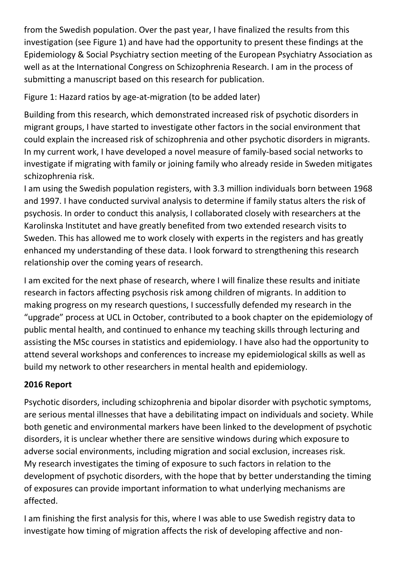from the Swedish population. Over the past year, I have finalized the results from this investigation (see Figure 1) and have had the opportunity to present these findings at the Epidemiology & Social Psychiatry section meeting of the European Psychiatry Association as well as at the International Congress on Schizophrenia Research. I am in the process of submitting a manuscript based on this research for publication.

Figure 1: Hazard ratios by age-at-migration (to be added later)

Building from this research, which demonstrated increased risk of psychotic disorders in migrant groups, I have started to investigate other factors in the social environment that could explain the increased risk of schizophrenia and other psychotic disorders in migrants. In my current work, I have developed a novel measure of family-based social networks to investigate if migrating with family or joining family who already reside in Sweden mitigates schizophrenia risk.

I am using the Swedish population registers, with 3.3 million individuals born between 1968 and 1997. I have conducted survival analysis to determine if family status alters the risk of psychosis. In order to conduct this analysis, I collaborated closely with researchers at the Karolinska Institutet and have greatly benefited from two extended research visits to Sweden. This has allowed me to work closely with experts in the registers and has greatly enhanced my understanding of these data. I look forward to strengthening this research relationship over the coming years of research.

I am excited for the next phase of research, where I will finalize these results and initiate research in factors affecting psychosis risk among children of migrants. In addition to making progress on my research questions, I successfully defended my research in the "upgrade" process at UCL in October, contributed to a book chapter on the epidemiology of public mental health, and continued to enhance my teaching skills through lecturing and assisting the MSc courses in statistics and epidemiology. I have also had the opportunity to attend several workshops and conferences to increase my epidemiological skills as well as build my network to other researchers in mental health and epidemiology.

# **2016 Report**

Psychotic disorders, including schizophrenia and bipolar disorder with psychotic symptoms, are serious mental illnesses that have a debilitating impact on individuals and society. While both genetic and environmental markers have been linked to the development of psychotic disorders, it is unclear whether there are sensitive windows during which exposure to adverse social environments, including migration and social exclusion, increases risk. My research investigates the timing of exposure to such factors in relation to the development of psychotic disorders, with the hope that by better understanding the timing of exposures can provide important information to what underlying mechanisms are affected.

I am finishing the first analysis for this, where I was able to use Swedish registry data to investigate how timing of migration affects the risk of developing affective and non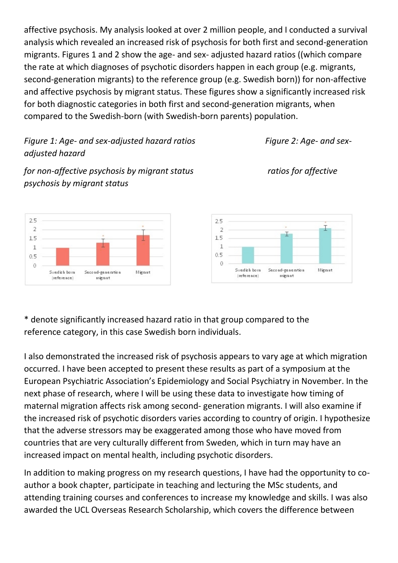affective psychosis. My analysis looked at over 2 million people, and I conducted a survival analysis which revealed an increased risk of psychosis for both first and second-generation migrants. Figures 1 and 2 show the age- and sex- adjusted hazard ratios ((which compare the rate at which diagnoses of psychotic disorders happen in each group (e.g. migrants, second-generation migrants) to the reference group (e.g. Swedish born)) for non-affective and affective psychosis by migrant status. These figures show a significantly increased risk for both diagnostic categories in both first and second-generation migrants, when compared to the Swedish-born (with Swedish-born parents) population.

# *Figure 1: Age-* and sex-adjusted hazard ratios Figure 2: Age- and sex*adjusted hazard*

*for non-affective psychosis by migrant status ratios for affective psychosis by migrant status*





\* denote significantly increased hazard ratio in that group compared to the reference category, in this case Swedish born individuals.

I also demonstrated the increased risk of psychosis appears to vary age at which migration occurred. I have been accepted to present these results as part of a symposium at the European Psychiatric Association's Epidemiology and Social Psychiatry in November. In the next phase of research, where I will be using these data to investigate how timing of maternal migration affects risk among second- generation migrants. I will also examine if the increased risk of psychotic disorders varies according to country of origin. I hypothesize that the adverse stressors may be exaggerated among those who have moved from countries that are very culturally different from Sweden, which in turn may have an increased impact on mental health, including psychotic disorders.

In addition to making progress on my research questions, I have had the opportunity to coauthor a book chapter, participate in teaching and lecturing the MSc students, and attending training courses and conferences to increase my knowledge and skills. I was also awarded the UCL Overseas Research Scholarship, which covers the difference between